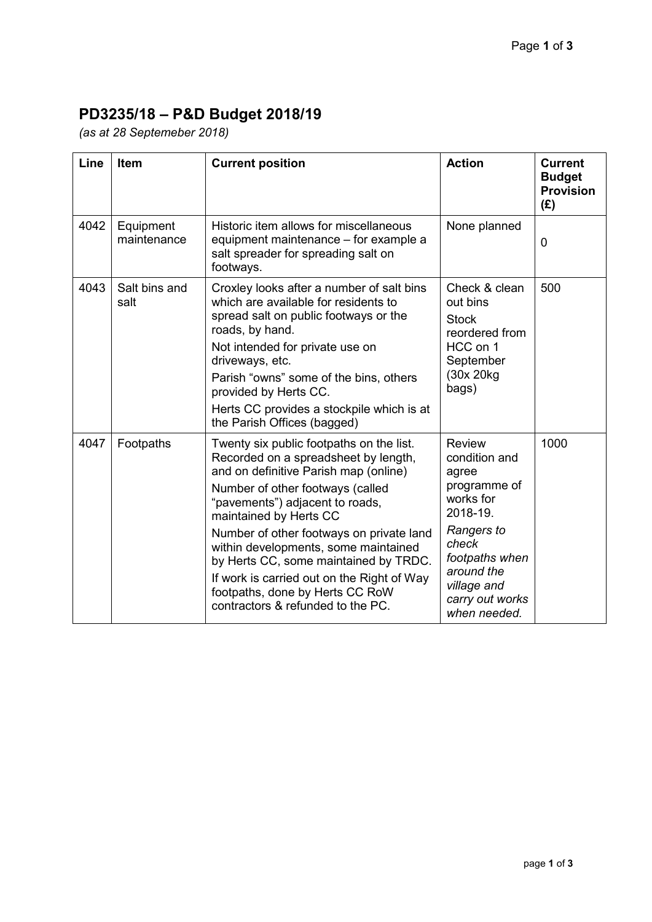## **PD3235/18 – P&D Budget 2018/19**

*(as at 28 Septemeber 2018)* 

| Line | <b>Item</b>              | <b>Current position</b>                                                                                                                                                                                                                                                                                                                                                                                                                                                       | <b>Action</b>                                                                                                                                                                             | <b>Current</b><br><b>Budget</b><br><b>Provision</b><br>(E) |
|------|--------------------------|-------------------------------------------------------------------------------------------------------------------------------------------------------------------------------------------------------------------------------------------------------------------------------------------------------------------------------------------------------------------------------------------------------------------------------------------------------------------------------|-------------------------------------------------------------------------------------------------------------------------------------------------------------------------------------------|------------------------------------------------------------|
| 4042 | Equipment<br>maintenance | Historic item allows for miscellaneous<br>equipment maintenance - for example a<br>salt spreader for spreading salt on<br>footways.                                                                                                                                                                                                                                                                                                                                           | None planned                                                                                                                                                                              | $\mathbf 0$                                                |
| 4043 | Salt bins and<br>salt    | Croxley looks after a number of salt bins<br>which are available for residents to<br>spread salt on public footways or the<br>roads, by hand.<br>Not intended for private use on<br>driveways, etc.<br>Parish "owns" some of the bins, others<br>provided by Herts CC.<br>Herts CC provides a stockpile which is at<br>the Parish Offices (bagged)                                                                                                                            | Check & clean<br>out bins<br><b>Stock</b><br>reordered from<br>HCC on 1<br>September<br>(30x 20kg)<br>bags)                                                                               | 500                                                        |
| 4047 | Footpaths                | Twenty six public footpaths on the list.<br>Recorded on a spreadsheet by length,<br>and on definitive Parish map (online)<br>Number of other footways (called<br>"pavements") adjacent to roads,<br>maintained by Herts CC<br>Number of other footways on private land<br>within developments, some maintained<br>by Herts CC, some maintained by TRDC.<br>If work is carried out on the Right of Way<br>footpaths, done by Herts CC RoW<br>contractors & refunded to the PC. | <b>Review</b><br>condition and<br>agree<br>programme of<br>works for<br>2018-19.<br>Rangers to<br>check<br>footpaths when<br>around the<br>village and<br>carry out works<br>when needed. | 1000                                                       |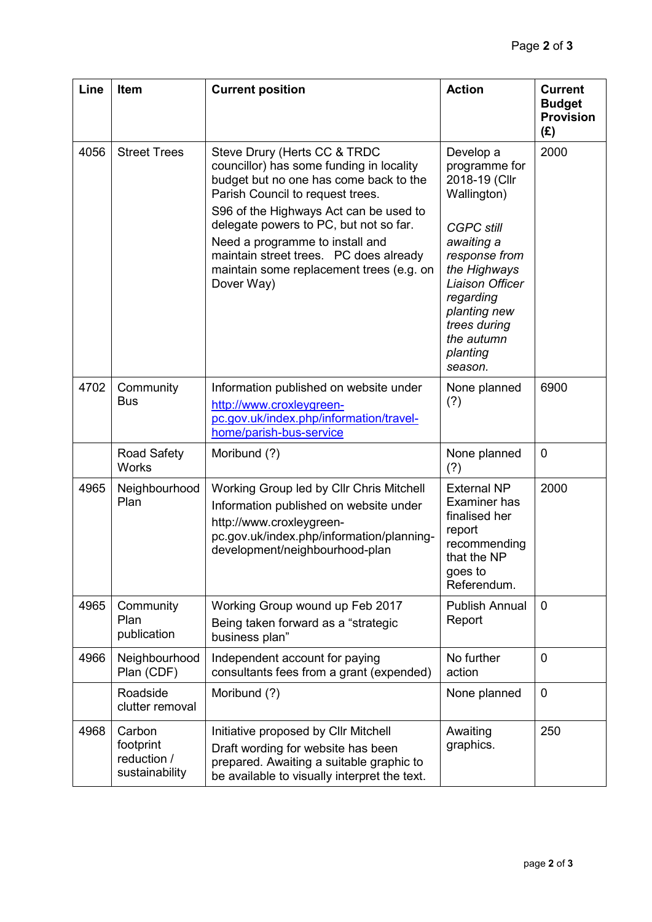| Line | Item                                                 | <b>Current position</b>                                                                                                                                                                                                                                                                                                                                                           | <b>Action</b>                                                                                                                                                                                                                       | <b>Current</b><br><b>Budget</b><br><b>Provision</b><br>(E) |
|------|------------------------------------------------------|-----------------------------------------------------------------------------------------------------------------------------------------------------------------------------------------------------------------------------------------------------------------------------------------------------------------------------------------------------------------------------------|-------------------------------------------------------------------------------------------------------------------------------------------------------------------------------------------------------------------------------------|------------------------------------------------------------|
| 4056 | <b>Street Trees</b>                                  | Steve Drury (Herts CC & TRDC<br>councillor) has some funding in locality<br>budget but no one has come back to the<br>Parish Council to request trees.<br>S96 of the Highways Act can be used to<br>delegate powers to PC, but not so far.<br>Need a programme to install and<br>maintain street trees. PC does already<br>maintain some replacement trees (e.g. on<br>Dover Way) | Develop a<br>programme for<br>2018-19 (Cllr<br>Wallington)<br><b>CGPC still</b><br>awaiting a<br>response from<br>the Highways<br>Liaison Officer<br>regarding<br>planting new<br>trees during<br>the autumn<br>planting<br>season. | 2000                                                       |
| 4702 | Community<br>Bus                                     | Information published on website under<br>http://www.croxleygreen-<br>pc.gov.uk/index.php/information/travel-<br>home/parish-bus-service                                                                                                                                                                                                                                          | None planned<br>(?)                                                                                                                                                                                                                 | 6900                                                       |
|      | <b>Road Safety</b><br><b>Works</b>                   | Moribund (?)                                                                                                                                                                                                                                                                                                                                                                      | None planned<br>(?)                                                                                                                                                                                                                 | $\overline{0}$                                             |
| 4965 | Neighbourhood<br>Plan                                | Working Group led by Cllr Chris Mitchell<br>Information published on website under<br>http://www.croxleygreen-<br>pc.gov.uk/index.php/information/planning-<br>development/neighbourhood-plan                                                                                                                                                                                     | <b>External NP</b><br>Examiner has<br>finalised her<br>report<br>recommending<br>that the NP<br>goes to<br>Referendum.                                                                                                              | 2000                                                       |
| 4965 | Community<br>Plan<br>publication                     | Working Group wound up Feb 2017<br>Being taken forward as a "strategic<br>business plan"                                                                                                                                                                                                                                                                                          | <b>Publish Annual</b><br>Report                                                                                                                                                                                                     | $\mathbf 0$                                                |
| 4966 | Neighbourhood<br>Plan (CDF)                          | Independent account for paying<br>consultants fees from a grant (expended)                                                                                                                                                                                                                                                                                                        | No further<br>action                                                                                                                                                                                                                | $\mathbf 0$                                                |
|      | Roadside<br>clutter removal                          | Moribund (?)                                                                                                                                                                                                                                                                                                                                                                      | None planned                                                                                                                                                                                                                        | $\mathbf 0$                                                |
| 4968 | Carbon<br>footprint<br>reduction /<br>sustainability | Initiative proposed by Cllr Mitchell<br>Draft wording for website has been<br>prepared. Awaiting a suitable graphic to<br>be available to visually interpret the text.                                                                                                                                                                                                            | Awaiting<br>graphics.                                                                                                                                                                                                               | 250                                                        |